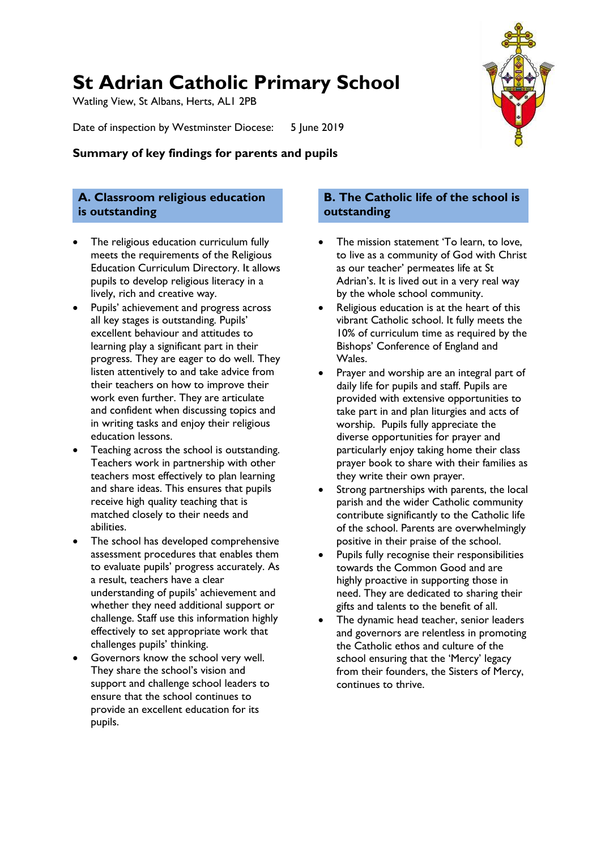# **St Adrian Catholic Primary School**

Watling View, St Albans, Herts, AL1 2PB

Date of inspection by Westminster Diocese: 5 June 2019



### **A. Classroom religious education is outstanding**

- The religious education curriculum fully meets the requirements of the Religious Education Curriculum Directory. It allows pupils to develop religious literacy in a lively, rich and creative way.
- Pupils' achievement and progress across all key stages is outstanding. Pupils' excellent behaviour and attitudes to learning play a significant part in their progress. They are eager to do well. They listen attentively to and take advice from their teachers on how to improve their work even further. They are articulate and confident when discussing topics and in writing tasks and enjoy their religious education lessons.
- Teaching across the school is outstanding. Teachers work in partnership with other teachers most effectively to plan learning and share ideas. This ensures that pupils receive high quality teaching that is matched closely to their needs and abilities.
- The school has developed comprehensive assessment procedures that enables them to evaluate pupils' progress accurately. As a result, teachers have a clear understanding of pupils' achievement and whether they need additional support or challenge. Staff use this information highly effectively to set appropriate work that challenges pupils' thinking.
- Governors know the school very well. They share the school's vision and support and challenge school leaders to ensure that the school continues to provide an excellent education for its pupils.

### **B. The Catholic life of the school is outstanding**

- The mission statement 'To learn, to love, to live as a community of God with Christ as our teacher' permeates life at St Adrian's. It is lived out in a very real way by the whole school community.
- Religious education is at the heart of this vibrant Catholic school. It fully meets the 10% of curriculum time as required by the Bishops' Conference of England and Wales.
- Prayer and worship are an integral part of daily life for pupils and staff. Pupils are provided with extensive opportunities to take part in and plan liturgies and acts of worship. Pupils fully appreciate the diverse opportunities for prayer and particularly enjoy taking home their class prayer book to share with their families as they write their own prayer.
- Strong partnerships with parents, the local parish and the wider Catholic community contribute significantly to the Catholic life of the school. Parents are overwhelmingly positive in their praise of the school.
- Pupils fully recognise their responsibilities towards the Common Good and are highly proactive in supporting those in need. They are dedicated to sharing their gifts and talents to the benefit of all.
- The dynamic head teacher, senior leaders and governors are relentless in promoting the Catholic ethos and culture of the school ensuring that the 'Mercy' legacy from their founders, the Sisters of Mercy, continues to thrive.

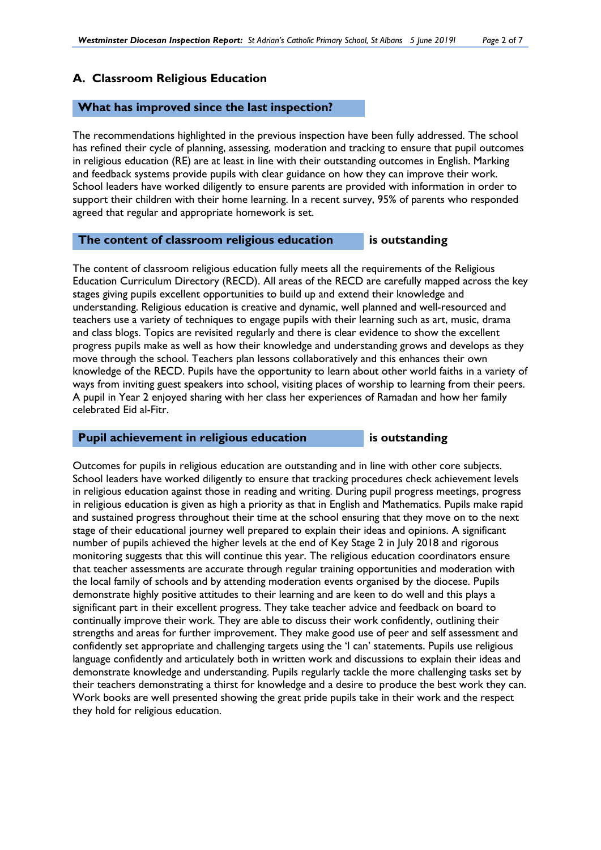### **A. Classroom Religious Education**

### **What has improved since the last inspection?**

The recommendations highlighted in the previous inspection have been fully addressed. The school has refined their cycle of planning, assessing, moderation and tracking to ensure that pupil outcomes in religious education (RE) are at least in line with their outstanding outcomes in English. Marking and feedback systems provide pupils with clear guidance on how they can improve their work. School leaders have worked diligently to ensure parents are provided with information in order to support their children with their home learning. In a recent survey, 95% of parents who responded agreed that regular and appropriate homework is set.

### **The content of classroom religious education is outstanding**

The content of classroom religious education fully meets all the requirements of the Religious Education Curriculum Directory (RECD). All areas of the RECD are carefully mapped across the key stages giving pupils excellent opportunities to build up and extend their knowledge and understanding. Religious education is creative and dynamic, well planned and well-resourced and teachers use a variety of techniques to engage pupils with their learning such as art, music, drama and class blogs. Topics are revisited regularly and there is clear evidence to show the excellent progress pupils make as well as how their knowledge and understanding grows and develops as they move through the school. Teachers plan lessons collaboratively and this enhances their own knowledge of the RECD. Pupils have the opportunity to learn about other world faiths in a variety of ways from inviting guest speakers into school, visiting places of worship to learning from their peers. A pupil in Year 2 enjoyed sharing with her class her experiences of Ramadan and how her family celebrated Eid al-Fitr.

### **Pupil achievement in religious education** is outstanding

Outcomes for pupils in religious education are outstanding and in line with other core subjects. School leaders have worked diligently to ensure that tracking procedures check achievement levels in religious education against those in reading and writing. During pupil progress meetings, progress in religious education is given as high a priority as that in English and Mathematics. Pupils make rapid and sustained progress throughout their time at the school ensuring that they move on to the next stage of their educational journey well prepared to explain their ideas and opinions. A significant number of pupils achieved the higher levels at the end of Key Stage 2 in July 2018 and rigorous monitoring suggests that this will continue this year. The religious education coordinators ensure that teacher assessments are accurate through regular training opportunities and moderation with the local family of schools and by attending moderation events organised by the diocese. Pupils demonstrate highly positive attitudes to their learning and are keen to do well and this plays a significant part in their excellent progress. They take teacher advice and feedback on board to continually improve their work. They are able to discuss their work confidently, outlining their strengths and areas for further improvement. They make good use of peer and self assessment and confidently set appropriate and challenging targets using the 'I can' statements. Pupils use religious language confidently and articulately both in written work and discussions to explain their ideas and demonstrate knowledge and understanding. Pupils regularly tackle the more challenging tasks set by their teachers demonstrating a thirst for knowledge and a desire to produce the best work they can. Work books are well presented showing the great pride pupils take in their work and the respect they hold for religious education.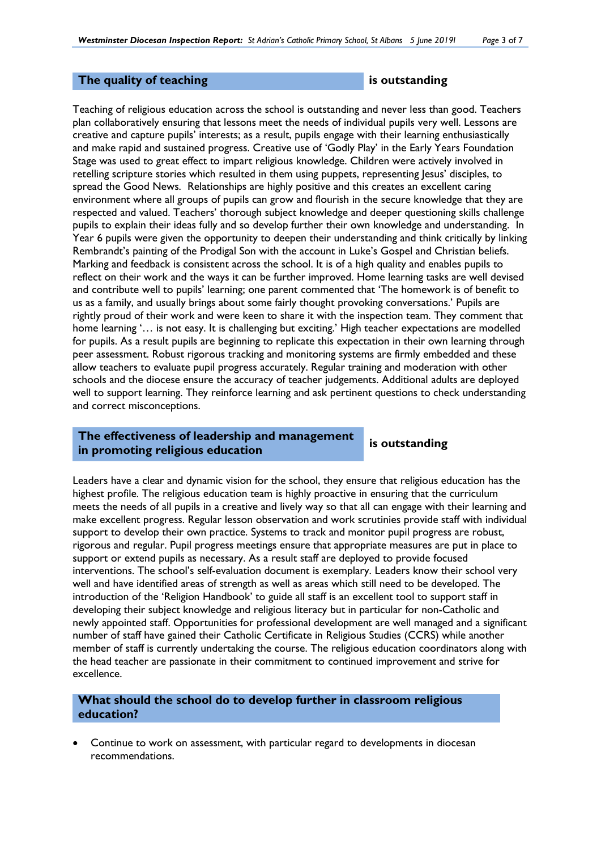### **The quality of teaching is outstanding**

Teaching of religious education across the school is outstanding and never less than good. Teachers plan collaboratively ensuring that lessons meet the needs of individual pupils very well. Lessons are creative and capture pupils' interests; as a result, pupils engage with their learning enthusiastically and make rapid and sustained progress. Creative use of 'Godly Play' in the Early Years Foundation Stage was used to great effect to impart religious knowledge. Children were actively involved in retelling scripture stories which resulted in them using puppets, representing lesus' disciples, to spread the Good News. Relationships are highly positive and this creates an excellent caring environment where all groups of pupils can grow and flourish in the secure knowledge that they are respected and valued. Teachers' thorough subject knowledge and deeper questioning skills challenge pupils to explain their ideas fully and so develop further their own knowledge and understanding. In Year 6 pupils were given the opportunity to deepen their understanding and think critically by linking Rembrandt's painting of the Prodigal Son with the account in Luke's Gospel and Christian beliefs. Marking and feedback is consistent across the school. It is of a high quality and enables pupils to reflect on their work and the ways it can be further improved. Home learning tasks are well devised and contribute well to pupils' learning; one parent commented that 'The homework is of benefit to us as a family, and usually brings about some fairly thought provoking conversations.' Pupils are rightly proud of their work and were keen to share it with the inspection team. They comment that home learning '… is not easy. It is challenging but exciting.' High teacher expectations are modelled for pupils. As a result pupils are beginning to replicate this expectation in their own learning through peer assessment. Robust rigorous tracking and monitoring systems are firmly embedded and these allow teachers to evaluate pupil progress accurately. Regular training and moderation with other schools and the diocese ensure the accuracy of teacher judgements. Additional adults are deployed well to support learning. They reinforce learning and ask pertinent questions to check understanding and correct misconceptions.

### **The effectiveness of leadership and management in promoting religious education is outstanding**

Leaders have a clear and dynamic vision for the school, they ensure that religious education has the highest profile. The religious education team is highly proactive in ensuring that the curriculum meets the needs of all pupils in a creative and lively way so that all can engage with their learning and make excellent progress. Regular lesson observation and work scrutinies provide staff with individual support to develop their own practice. Systems to track and monitor pupil progress are robust, rigorous and regular. Pupil progress meetings ensure that appropriate measures are put in place to support or extend pupils as necessary. As a result staff are deployed to provide focused interventions. The school's self-evaluation document is exemplary. Leaders know their school very well and have identified areas of strength as well as areas which still need to be developed. The introduction of the 'Religion Handbook' to guide all staff is an excellent tool to support staff in developing their subject knowledge and religious literacy but in particular for non-Catholic and newly appointed staff. Opportunities for professional development are well managed and a significant number of staff have gained their Catholic Certificate in Religious Studies (CCRS) while another member of staff is currently undertaking the course. The religious education coordinators along with the head teacher are passionate in their commitment to continued improvement and strive for excellence.

### **What should the school do to develop further in classroom religious education?**

 Continue to work on assessment, with particular regard to developments in diocesan recommendations.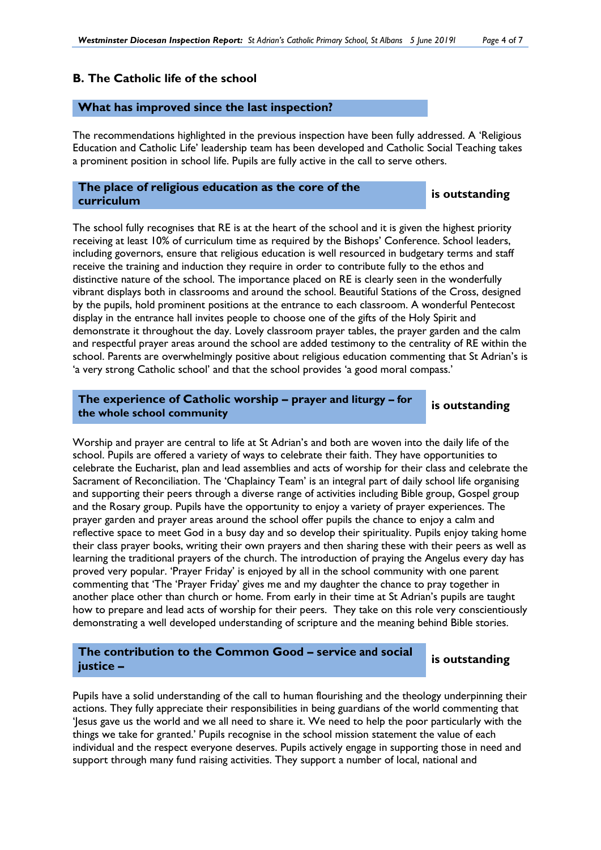### **B. The Catholic life of the school**

### **What has improved since the last inspection?**

The recommendations highlighted in the previous inspection have been fully addressed. A 'Religious Education and Catholic Life' leadership team has been developed and Catholic Social Teaching takes a prominent position in school life. Pupils are fully active in the call to serve others.

# **The place of religious education as the core of the curriculum is outstanding**

The school fully recognises that RE is at the heart of the school and it is given the highest priority receiving at least 10% of curriculum time as required by the Bishops' Conference. School leaders, including governors, ensure that religious education is well resourced in budgetary terms and staff receive the training and induction they require in order to contribute fully to the ethos and distinctive nature of the school. The importance placed on RE is clearly seen in the wonderfully vibrant displays both in classrooms and around the school. Beautiful Stations of the Cross, designed by the pupils, hold prominent positions at the entrance to each classroom. A wonderful Pentecost display in the entrance hall invites people to choose one of the gifts of the Holy Spirit and demonstrate it throughout the day. Lovely classroom prayer tables, the prayer garden and the calm and respectful prayer areas around the school are added testimony to the centrality of RE within the school. Parents are overwhelmingly positive about religious education commenting that St Adrian's is 'a very strong Catholic school' and that the school provides 'a good moral compass.'

# **The experience of Catholic worship – prayer and liturgy – for the whole school community is outstanding**

Worship and prayer are central to life at St Adrian's and both are woven into the daily life of the school. Pupils are offered a variety of ways to celebrate their faith. They have opportunities to celebrate the Eucharist, plan and lead assemblies and acts of worship for their class and celebrate the Sacrament of Reconciliation. The 'Chaplaincy Team' is an integral part of daily school life organising and supporting their peers through a diverse range of activities including Bible group, Gospel group and the Rosary group. Pupils have the opportunity to enjoy a variety of prayer experiences. The prayer garden and prayer areas around the school offer pupils the chance to enjoy a calm and reflective space to meet God in a busy day and so develop their spirituality. Pupils enjoy taking home their class prayer books, writing their own prayers and then sharing these with their peers as well as learning the traditional prayers of the church. The introduction of praying the Angelus every day has proved very popular. 'Prayer Friday' is enjoyed by all in the school community with one parent commenting that 'The 'Prayer Friday' gives me and my daughter the chance to pray together in another place other than church or home. From early in their time at St Adrian's pupils are taught how to prepare and lead acts of worship for their peers. They take on this role very conscientiously demonstrating a well developed understanding of scripture and the meaning behind Bible stories.

### **The contribution to the Common Good – service and social justice –**

### **is outstanding**

Pupils have a solid understanding of the call to human flourishing and the theology underpinning their actions. They fully appreciate their responsibilities in being guardians of the world commenting that 'Jesus gave us the world and we all need to share it. We need to help the poor particularly with the things we take for granted.' Pupils recognise in the school mission statement the value of each individual and the respect everyone deserves. Pupils actively engage in supporting those in need and support through many fund raising activities. They support a number of local, national and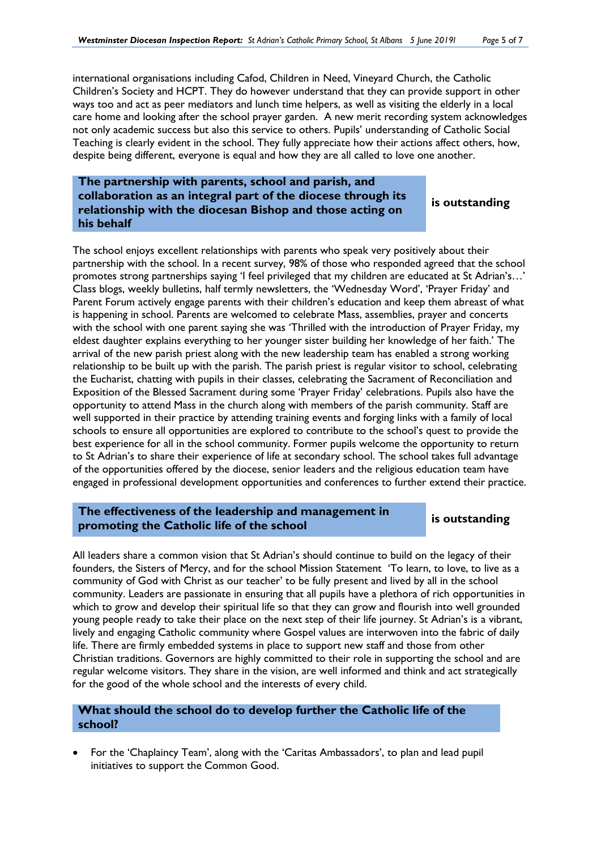international organisations including Cafod, Children in Need, Vineyard Church, the Catholic Children's Society and HCPT. They do however understand that they can provide support in other ways too and act as peer mediators and lunch time helpers, as well as visiting the elderly in a local care home and looking after the school prayer garden. A new merit recording system acknowledges not only academic success but also this service to others. Pupils' understanding of Catholic Social Teaching is clearly evident in the school. They fully appreciate how their actions affect others, how, despite being different, everyone is equal and how they are all called to love one another.

### **The partnership with parents, school and parish, and collaboration as an integral part of the diocese through its relationship with the diocesan Bishop and those acting on his behalf**

### **is outstanding**

The school enjoys excellent relationships with parents who speak very positively about their partnership with the school. In a recent survey, 98% of those who responded agreed that the school promotes strong partnerships saying 'I feel privileged that my children are educated at St Adrian's…' Class blogs, weekly bulletins, half termly newsletters, the 'Wednesday Word', 'Prayer Friday' and Parent Forum actively engage parents with their children's education and keep them abreast of what is happening in school. Parents are welcomed to celebrate Mass, assemblies, prayer and concerts with the school with one parent saying she was 'Thrilled with the introduction of Prayer Friday, my eldest daughter explains everything to her younger sister building her knowledge of her faith.' The arrival of the new parish priest along with the new leadership team has enabled a strong working relationship to be built up with the parish. The parish priest is regular visitor to school, celebrating the Eucharist, chatting with pupils in their classes, celebrating the Sacrament of Reconciliation and Exposition of the Blessed Sacrament during some 'Prayer Friday' celebrations. Pupils also have the opportunity to attend Mass in the church along with members of the parish community. Staff are well supported in their practice by attending training events and forging links with a family of local schools to ensure all opportunities are explored to contribute to the school's quest to provide the best experience for all in the school community. Former pupils welcome the opportunity to return to St Adrian's to share their experience of life at secondary school. The school takes full advantage of the opportunities offered by the diocese, senior leaders and the religious education team have engaged in professional development opportunities and conferences to further extend their practice.

### **The effectiveness of the leadership and management in promoting the Catholic life of the school is outstanding**

All leaders share a common vision that St Adrian's should continue to build on the legacy of their founders, the Sisters of Mercy, and for the school Mission Statement 'To learn, to love, to live as a community of God with Christ as our teacher' to be fully present and lived by all in the school community. Leaders are passionate in ensuring that all pupils have a plethora of rich opportunities in which to grow and develop their spiritual life so that they can grow and flourish into well grounded young people ready to take their place on the next step of their life journey. St Adrian's is a vibrant, lively and engaging Catholic community where Gospel values are interwoven into the fabric of daily life. There are firmly embedded systems in place to support new staff and those from other Christian traditions. Governors are highly committed to their role in supporting the school and are regular welcome visitors. They share in the vision, are well informed and think and act strategically for the good of the whole school and the interests of every child.

### **What should the school do to develop further the Catholic life of the school?**

 For the 'Chaplaincy Team', along with the 'Caritas Ambassadors', to plan and lead pupil initiatives to support the Common Good.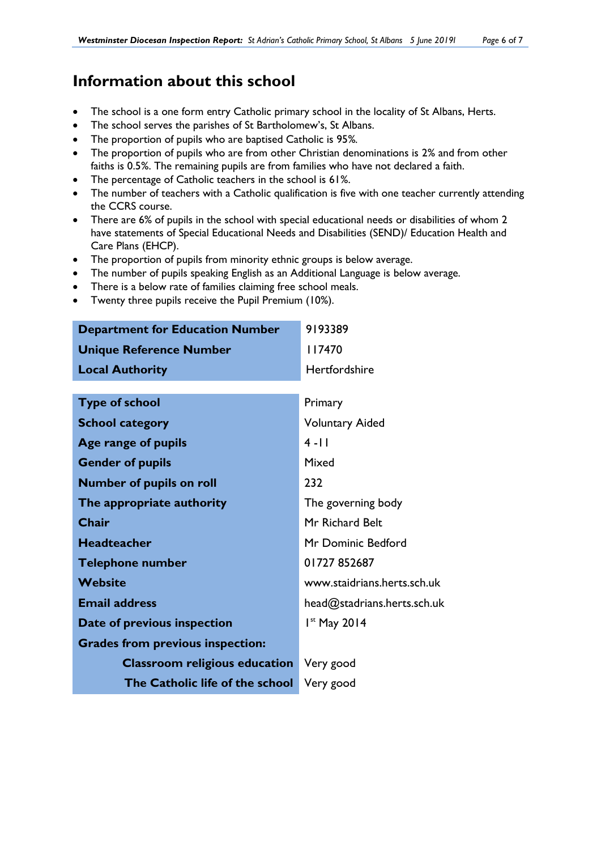# **Information about this school**

- The school is a one form entry Catholic primary school in the locality of St Albans, Herts.
- The school serves the parishes of St Bartholomew's, St Albans.
- The proportion of pupils who are baptised Catholic is 95*%.*
- The proportion of pupils who are from other Christian denominations is 2*%* and from other faiths is 0.5*%*. The remaining pupils are from families who have not declared a faith.
- The percentage of Catholic teachers in the school is 61*%*.
- The number of teachers with a Catholic qualification is five with one teacher currently attending the CCRS course.
- There are 6% of pupils in the school with special educational needs or disabilities of whom 2 have statements of Special Educational Needs and Disabilities (SEND)/ Education Health and Care Plans (EHCP).
- The proportion of pupils from minority ethnic groups is below average.
- The number of pupils speaking English as an Additional Language is below average.
- There is a below rate of families claiming free school meals.
- Twenty three pupils receive the Pupil Premium (10%).

| <b>Department for Education Number</b>  | 9193389                     |
|-----------------------------------------|-----------------------------|
| <b>Unique Reference Number</b>          | 117470                      |
| <b>Local Authority</b>                  | <b>Hertfordshire</b>        |
|                                         |                             |
| <b>Type of school</b>                   | Primary                     |
| <b>School category</b>                  | <b>Voluntary Aided</b>      |
| Age range of pupils                     | $4 - 11$                    |
| <b>Gender of pupils</b>                 | Mixed                       |
| <b>Number of pupils on roll</b>         | 232                         |
| The appropriate authority               | The governing body          |
| Chair                                   | Mr Richard Belt             |
| <b>Headteacher</b>                      | Mr Dominic Bedford          |
| <b>Telephone number</b>                 | 01727852687                 |
| <b>Website</b>                          | www.staidrians.herts.sch.uk |
| <b>Email address</b>                    | head@stadrians.herts.sch.uk |
| Date of previous inspection             | $Ist$ May 2014              |
| <b>Grades from previous inspection:</b> |                             |
| <b>Classroom religious education</b>    | Very good                   |
| The Catholic life of the school         | Very good                   |